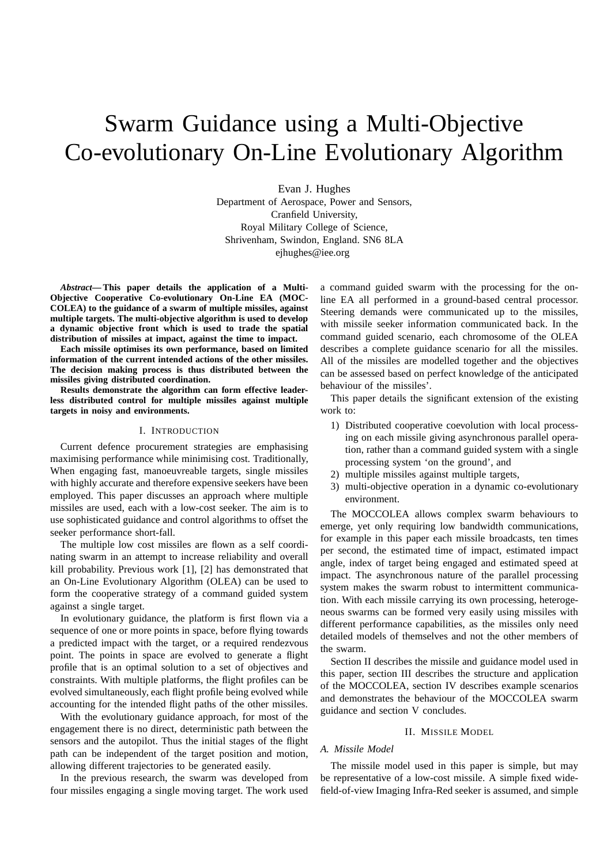# Swarm Guidance using a Multi-Objective Co-evolutionary On-Line Evolutionary Algorithm

Evan J. Hughes Department of Aerospace, Power and Sensors, Cranfield University, Royal Military College of Science, Shrivenham, Swindon, England. SN6 8LA ejhughes@iee.org

*Abstract***— This paper details the application of a Multi-Objective Cooperative Co-evolutionary On-Line EA (MOC-COLEA) to the guidance of a swarm of multiple missiles, against multiple targets. The multi-objective algorithm is used to develop a dynamic objective front which is used to trade the spatial distribution of missiles at impact, against the time to impact.**

**Each missile optimises its own performance, based on limited information of the current intended actions of the other missiles. The decision making process is thus distributed between the missiles giving distributed coordination.**

**Results demonstrate the algorithm can form effective leaderless distributed control for multiple missiles against multiple targets in noisy and environments.**

### I. INTRODUCTION

Current defence procurement strategies are emphasising maximising performance while minimising cost. Traditionally, When engaging fast, manoeuvreable targets, single missiles with highly accurate and therefore expensive seekers have been employed. This paper discusses an approach where multiple missiles are used, each with a low-cost seeker. The aim is to use sophisticated guidance and control algorithms to offset the seeker performance short-fall.

The multiple low cost missiles are flown as a self coordinating swarm in an attempt to increase reliability and overall kill probability. Previous work [1], [2] has demonstrated that an On-Line Evolutionary Algorithm (OLEA) can be used to form the cooperative strategy of a command guided system against a single target.

In evolutionary guidance, the platform is first flown via a sequence of one or more points in space, before flying towards a predicted impact with the target, or a required rendezvous point. The points in space are evolved to generate a flight profile that is an optimal solution to a set of objectives and constraints. With multiple platforms, the flight profiles can be evolved simultaneously, each flight profile being evolved while accounting for the intended flight paths of the other missiles.

With the evolutionary guidance approach, for most of the engagement there is no direct, deterministic path between the sensors and the autopilot. Thus the initial stages of the flight path can be independent of the target position and motion, allowing different trajectories to be generated easily.

In the previous research, the swarm was developed from four missiles engaging a single moving target. The work used a command guided swarm with the processing for the online EA all performed in a ground-based central processor. Steering demands were communicated up to the missiles, with missile seeker information communicated back. In the command guided scenario, each chromosome of the OLEA describes a complete guidance scenario for all the missiles. All of the missiles are modelled together and the objectives can be assessed based on perfect knowledge of the anticipated behaviour of the missiles'.

This paper details the significant extension of the existing work to:

- 1) Distributed cooperative coevolution with local processing on each missile giving asynchronous parallel operation, rather than a command guided system with a single processing system 'on the ground', and
- 2) multiple missiles against multiple targets,
- 3) multi-objective operation in a dynamic co-evolutionary environment.

The MOCCOLEA allows complex swarm behaviours to emerge, yet only requiring low bandwidth communications, for example in this paper each missile broadcasts, ten times per second, the estimated time of impact, estimated impact angle, index of target being engaged and estimated speed at impact. The asynchronous nature of the parallel processing system makes the swarm robust to intermittent communication. With each missile carrying its own processing, heterogeneous swarms can be formed very easily using missiles with different performance capabilities, as the missiles only need detailed models of themselves and not the other members of the swarm.

Section II describes the missile and guidance model used in this paper, section III describes the structure and application of the MOCCOLEA, section IV describes example scenarios and demonstrates the behaviour of the MOCCOLEA swarm guidance and section V concludes.

#### II. MISSILE MODEL

# *A. Missile Model*

The missile model used in this paper is simple, but may be representative of a low-cost missile. A simple fixed widefield-of-view Imaging Infra-Red seeker is assumed, and simple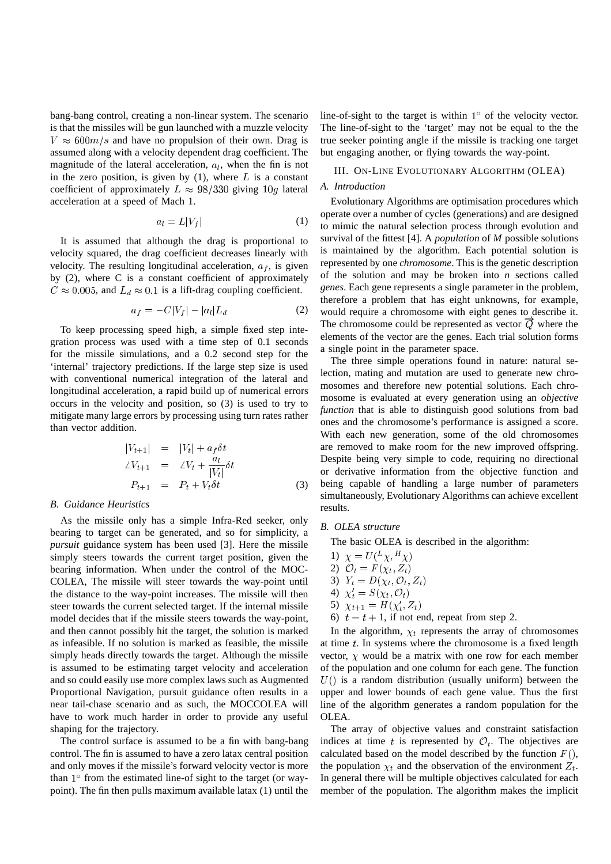bang-bang control, creating a non-linear system. The scenario is that the missiles will be gun launched with a muzzle velocity  $V \approx 600m/s$  and have no propulsion of their own. Drag is assumed along with a velocity dependent drag coefficient. The magnitude of the lateral acceleration,  $a<sub>l</sub>$ , when the fin is not in the zero position, is given by  $(1)$ , where L is a constant coefficient of approximately  $L \approx 98/330$  giving 10g lateral acceleration at a speed of Mach 1.

$$
a_l = L|V_f| \tag{1}
$$

It is assumed that although the drag is proportional to velocity squared, the drag coefficient decreases linearly with velocity. The resulting longitudinal acceleration,  $a_f$ , is given by (2), where C is a constant coefficient of approximately  $C \approx 0.005$ , and  $L_d \approx 0.1$  is a lift-drag coupling coefficient.

$$
a_f = -C|V_f| - |a_l|L_d \tag{2}
$$

To keep processing speed high, a simple fixed step integration process was used with a time step of 0.1 seconds for the missile simulations, and a 0.2 second step for the 'internal' trajectory predictions. If the large step size is used with conventional numerical integration of the lateral and longitudinal acceleration, a rapid build up of numerical errors occurs in the velocity and position, so (3) is used to try to mitigate many large errors by processing using turn rates rather than vector addition.

$$
\begin{aligned}\n|V_{t+1}| &= |V_t| + a_f \delta t \\
\angle V_{t+1} &= \angle V_t + \frac{a_l}{|V_t|} \delta t \\
P_{t+1} &= P_t + V_t \delta t\n\end{aligned} \tag{3}
$$

### *B. Guidance Heuristics*

As the missile only has a simple Infra-Red seeker, only bearing to target can be generated, and so for simplicity, a *pursuit* guidance system has been used [3]. Here the missile simply steers towards the current target position, given the bearing information. When under the control of the MOC-COLEA, The missile will steer towards the way-point until the distance to the way-point increases. The missile will then steer towards the current selected target. If the internal missile model decides that if the missile steers towards the way-point, and then cannot possibly hit the target, the solution is marked as infeasible. If no solution is marked as feasible, the missile simply heads directly towards the target. Although the missile is assumed to be estimating target velocity and acceleration and so could easily use more complex laws such as Augmented Proportional Navigation, pursuit guidance often results in a near tail-chase scenario and as such, the MOCCOLEA will have to work much harder in order to provide any useful shaping for the trajectory.

The control surface is assumed to be a fin with bang-bang control. The fin is assumed to have a zero latax central position and only moves if the missile's forward velocity vector is more than  $1^\circ$  from the estimated line-of sight to the target (or waypoint). The fin then pulls maximum available latax (1) until the

line-of-sight to the target is within  $1^\circ$  of the velocity vector. The line-of-sight to the 'target' may not be equal to the the true seeker pointing angle if the missile is tracking one target but engaging another, or flying towards the way-point.

# III. ON-LINE EVOLUTIONARY ALGORITHM (OLEA)

# *A. Introduction*

Evolutionary Algorithms are optimisation procedures which operate over a number of cycles (generations) and are designed to mimic the natural selection process through evolution and survival of the fittest [4]. A *population* of *M* possible solutions is maintained by the algorithm. Each potential solution is represented by one *chromosome*. This is the genetic description of the solution and may be broken into *n* sections called *genes*. Each gene represents a single parameter in the problem, therefore a problem that has eight unknowns, for example, would require a chromosome with eight genes to describe it. The chromosome could be represented as vector  $Q$  where the elements of the vector are the genes. Each trial solution forms a single point in the parameter space.

The three simple operations found in nature: natural selection, mating and mutation are used to generate new chromosomes and therefore new potential solutions. Each chromosome is evaluated at every generation using an *objective function* that is able to distinguish good solutions from bad ones and the chromosome's performance is assigned a score. With each new generation, some of the old chromosomes are removed to make room for the new improved offspring. Despite being very simple to code, requiring no directional or derivative information from the objective function and being capable of handling a large number of parameters simultaneously, Evolutionary Algorithms can achieve excellent results.

### *B. OLEA structure*

The basic OLEA is described in the algorithm:

1)  $\chi = U({}^{L}\chi, {}^{H}\chi)$ 2)  $\mathcal{O}_t = F(\chi_t, Z_t)$ 3)  $Y_t = D(\chi_t, \mathcal{O}_t, Z_t)$ 4)  $\chi'_t = S(\chi_t, \mathcal{O}_t)$ 5)  $\chi_{t+1} = H(\chi_t', Z_t)$ 6)  $t = t + 1$ , if not end, repeat from step 2.

In the algorithm,  $\chi_t$  represents the array of chromosomes at time  $t$ . In systems where the chromosome is a fixed length vector,  $\chi$  would be a matrix with one row for each member of the population and one column for each gene. The function  $U($ ) is a random distribution (usually uniform) between the upper and lower bounds of each gene value. Thus the first line of the algorithm generates a random population for the OLEA.

The array of objective values and constraint satisfaction indices at time t is represented by  $\mathcal{O}_t$ . The objectives are calculated based on the model described by the function  $F()$ , the population  $\chi_t$  and the observation of the environment  $Z_t$ . In general there will be multiple objectives calculated for each member of the population. The algorithm makes the implicit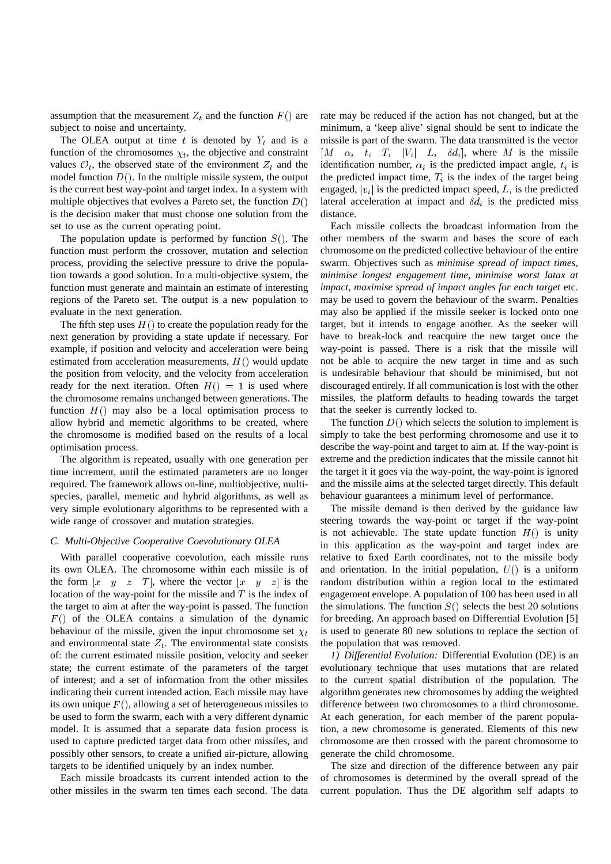assumption that the measurement  $Z_t$  and the function  $F()$  are subject to noise and uncertainty.

The OLEA output at time t is denoted by  $Y_t$  and is a function of the chromosomes  $\chi_t$ , the objective and constraint values  $\mathcal{O}_t$ , the observed state of the environment  $Z_t$  and the model function  $D()$ . In the multiple missile system, the output is the current best way-point and target index. In a system with multiple objectives that evolves a Pareto set, the function  $D()$ is the decision maker that must choose one solution from the set to use as the current operating point.

The population update is performed by function  $S($ ). The function must perform the crossover, mutation and selection process, providing the selective pressure to drive the population towards a good solution. In a multi-objective system, the function must generate and maintain an estimate of interesting regions of the Pareto set. The output is a new population to evaluate in the next generation.

The fifth step uses  $H()$  to create the population ready for the next generation by providing a state update if necessary. For example, if position and velocity and acceleration were being estimated from acceleration measurements,  $H()$  would update the position from velocity, and the velocity from acceleration ready for the next iteration. Often  $H() = 1$  is used where the chromosome remains unchanged between generations. The function  $H()$  may also be a local optimisation process to allow hybrid and memetic algorithms to be created, where the chromosome is modified based on the results of a local optimisation process.

The algorithm is repeated, usually with one generation per time increment, until the estimated parameters are no longer required. The framework allows on-line, multiobjective, multispecies, parallel, memetic and hybrid algorithms, as well as very simple evolutionary algorithms to be represented with a wide range of crossover and mutation strategies.

#### *C. Multi-Objective Cooperative Coevolutionary OLEA*

With parallel cooperative coevolution, each missile runs its own OLEA. The chromosome within each missile is of the form  $[x \ y \ z \ T]$ , where the vector  $[x \ y \ z]$  is the location of the way-point for the missile and  $T$  is the index of the target to aim at after the way-point is passed. The function  $F()$  of the OLEA contains a simulation of the dynamic behaviour of the missile, given the input chromosome set  $\chi_t$ and environmental state  $Z_t$ . The environmental state consists of: the current estimated missile position, velocity and seeker state; the current estimate of the parameters of the target of interest; and a set of information from the other missiles indicating their current intended action. Each missile may have its own unique  $F()$ , allowing a set of heterogeneous missiles to be used to form the swarm, each with a very different dynamic model. It is assumed that a separate data fusion process is used to capture predicted target data from other missiles, and possibly other sensors, to create a unified air-picture, allowing targets to be identified uniquely by an index number.

Each missile broadcasts its current intended action to the other missiles in the swarm ten times each second. The data rate may be reduced if the action has not changed, but at the minimum, a 'keep alive' signal should be sent to indicate the missile is part of the swarm. The data transmitted is the vector  $[M \quad \alpha_i \quad t_i \quad T_i \quad |V_i| \quad L_i \quad \delta d_i],$  where M is the missile identification number,  $\alpha_i$  is the predicted impact angle,  $t_i$  is the predicted impact time,  $T_i$  is the index of the target being engaged,  $|v_i|$  is the predicted impact speed,  $L_i$  is the predicted lateral acceleration at impact and  $\delta d_i$  is the predicted miss distance.

Each missile collects the broadcast information from the other members of the swarm and bases the score of each chromosome on the predicted collective behaviour of the entire swarm. Objectives such as *minimise spread of impact times, minimise longest engagement time, minimise worst latax at impact, maximise spread of impact angles for each target* etc. may be used to govern the behaviour of the swarm. Penalties may also be applied if the missile seeker is locked onto one target, but it intends to engage another. As the seeker will have to break-lock and reacquire the new target once the way-point is passed. There is a risk that the missile will not be able to acquire the new target in time and as such is undesirable behaviour that should be minimised, but not discouraged entirely. If all communication is lost with the other missiles, the platform defaults to heading towards the target that the seeker is currently locked to.

The function  $D()$  which selects the solution to implement is simply to take the best performing chromosome and use it to describe the way-point and target to aim at. If the way-point is extreme and the prediction indicates that the missile cannot hit the target it it goes via the way-point, the way-point is ignored and the missile aims at the selected target directly. This default behaviour guarantees a minimum level of performance.

The missile demand is then derived by the guidance law steering towards the way-point or target if the way-point is not achievable. The state update function  $H()$  is unity in this application as the way-point and target index are relative to fixed Earth coordinates, not to the missile body and orientation. In the initial population,  $U($ ) is a uniform random distribution within a region local to the estimated engagement envelope. A population of 100 has been used in all the simulations. The function  $S($ ) selects the best 20 solutions for breeding. An approach based on Differential Evolution [5] is used to generate 80 new solutions to replace the section of the population that was removed.

*1) Differential Evolution:* Differential Evolution (DE) is an evolutionary technique that uses mutations that are related to the current spatial distribution of the population. The algorithm generates new chromosomes by adding the weighted difference between two chromosomes to a third chromosome. At each generation, for each member of the parent population, a new chromosome is generated. Elements of this new chromosome are then crossed with the parent chromosome to generate the child chromosome.

The size and direction of the difference between any pair of chromosomes is determined by the overall spread of the current population. Thus the DE algorithm self adapts to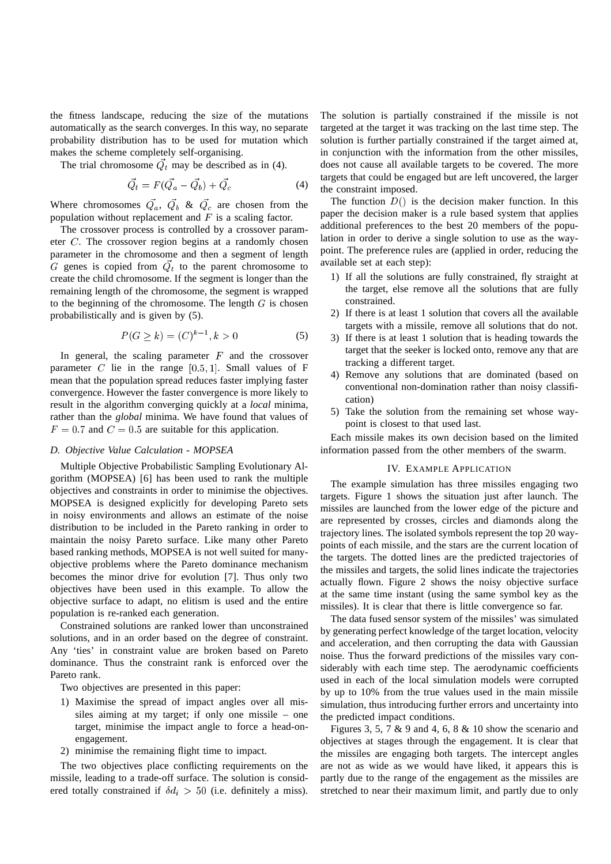the fitness landscape, reducing the size of the mutations automatically as the search converges. In this way, no separate probability distribution has to be used for mutation which makes the scheme completely self-organising.

The trial chromosome  $Q_t$  may be described as in (4).

$$
\vec{Q}_t = F(\vec{Q}_a - \vec{Q}_b) + \vec{Q}_c \tag{4}
$$

Where chromosomes  $Q_a$ ,  $Q_b$  &  $Q_c$  are chosen from the population without replacement and  $F$  is a scaling factor.

The crossover process is controlled by a crossover parameter <sup>C</sup>. The crossover region begins at a randomly chosen parameter in the chromosome and then a segment of length G genes is copied from  $Q_t$  to the parent chromosome to create the child chromosome. If the segment is longer than the remaining length of the chromosome, the segment is wrapped to the beginning of the chromosome. The length  $G$  is chosen probabilistically and is given by (5).

$$
P(G \ge k) = (C)^{k-1}, k > 0 \tag{5}
$$

In general, the scaling parameter  $F$  and the crossover parameter C lie in the range  $[0.5, 1]$ . Small values of F mean that the population spread reduces faster implying faster convergence. However the faster convergence is more likely to result in the algorithm converging quickly at a *local* minima, rather than the *global* minima. We have found that values of  $F = 0.7$  and  $C = 0.5$  are suitable for this application.

# *D. Objective Value Calculation - MOPSEA*

Multiple Objective Probabilistic Sampling Evolutionary Algorithm (MOPSEA) [6] has been used to rank the multiple objectives and constraints in order to minimise the objectives. MOPSEA is designed explicitly for developing Pareto sets in noisy environments and allows an estimate of the noise distribution to be included in the Pareto ranking in order to maintain the noisy Pareto surface. Like many other Pareto based ranking methods, MOPSEA is not well suited for manyobjective problems where the Pareto dominance mechanism becomes the minor drive for evolution [7]. Thus only two objectives have been used in this example. To allow the objective surface to adapt, no elitism is used and the entire population is re-ranked each generation.

Constrained solutions are ranked lower than unconstrained solutions, and in an order based on the degree of constraint. Any 'ties' in constraint value are broken based on Pareto dominance. Thus the constraint rank is enforced over the Pareto rank.

Two objectives are presented in this paper:

- 1) Maximise the spread of impact angles over all missiles aiming at my target; if only one missile – one target, minimise the impact angle to force a head-onengagement.
- 2) minimise the remaining flight time to impact.

The two objectives place conflicting requirements on the missile, leading to a trade-off surface. The solution is considered totally constrained if  $\delta d_i > 50$  (i.e. definitely a miss).

The solution is partially constrained if the missile is not targeted at the target it was tracking on the last time step. The solution is further partially constrained if the target aimed at, in conjunction with the information from the other missiles, does not cause all available targets to be covered. The more targets that could be engaged but are left uncovered, the larger the constraint imposed.

The function  $D()$  is the decision maker function. In this paper the decision maker is a rule based system that applies additional preferences to the best 20 members of the population in order to derive a single solution to use as the waypoint. The preference rules are (applied in order, reducing the available set at each step):

- 1) If all the solutions are fully constrained, fly straight at the target, else remove all the solutions that are fully constrained.
- 2) If there is at least 1 solution that covers all the available targets with a missile, remove all solutions that do not.
- 3) If there is at least 1 solution that is heading towards the target that the seeker is locked onto, remove any that are tracking a different target.
- 4) Remove any solutions that are dominated (based on conventional non-domination rather than noisy classification)
- 5) Take the solution from the remaining set whose waypoint is closest to that used last.

Each missile makes its own decision based on the limited information passed from the other members of the swarm.

#### IV. EXAMPLE APPLICATION

The example simulation has three missiles engaging two targets. Figure 1 shows the situation just after launch. The missiles are launched from the lower edge of the picture and are represented by crosses, circles and diamonds along the trajectory lines. The isolated symbols represent the top 20 waypoints of each missile, and the stars are the current location of the targets. The dotted lines are the predicted trajectories of the missiles and targets, the solid lines indicate the trajectories actually flown. Figure 2 shows the noisy objective surface at the same time instant (using the same symbol key as the missiles). It is clear that there is little convergence so far.

The data fused sensor system of the missiles' was simulated by generating perfect knowledge of the target location, velocity and acceleration, and then corrupting the data with Gaussian noise. Thus the forward predictions of the missiles vary considerably with each time step. The aerodynamic coefficients used in each of the local simulation models were corrupted by up to 10% from the true values used in the main missile simulation, thus introducing further errors and uncertainty into the predicted impact conditions.

Figures 3, 5, 7  $\&$  9 and 4, 6, 8  $\&$  10 show the scenario and objectives at stages through the engagement. It is clear that the missiles are engaging both targets. The intercept angles are not as wide as we would have liked, it appears this is partly due to the range of the engagement as the missiles are stretched to near their maximum limit, and partly due to only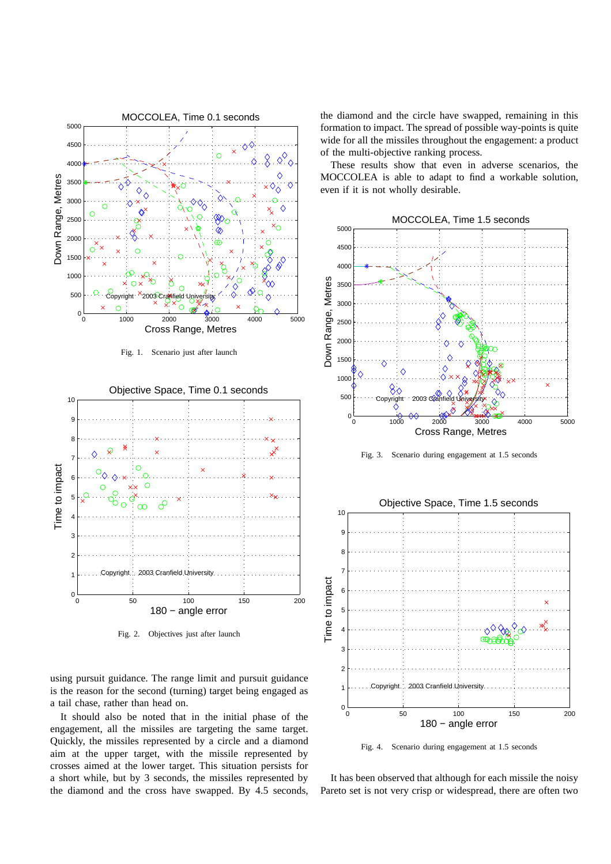

Fig. 2. Objectives just after launch

using pursuit guidance. The range limit and pursuit guidance is the reason for the second (turning) target being engaged as a tail chase, rather than head on.

It should also be noted that in the initial phase of the engagement, all the missiles are targeting the same target. Quickly, the missiles represented by a circle and a diamond aim at the upper target, with the missile represented by crosses aimed at the lower target. This situation persists for a short while, but by 3 seconds, the missiles represented by the diamond and the cross have swapped. By 4.5 seconds, the diamond and the circle have swapped, remaining in this formation to impact. The spread of possible way-points is quite wide for all the missiles throughout the engagement: a product of the multi-objective ranking process.

These results show that even in adverse scenarios, the MOCCOLEA is able to adapt to find a workable solution, even if it is not wholly desirable.



Fig. 3. Scenario during engagement at 1.5 seconds

Objective Space, Time 1.5 seconds 10 9 8 7 Time to impact Time to impact 6 5 4 3 2 Copyright © 2003 Cranfield Universit 1  $0\frac{L}{0}$ 0 50 100 150 200 180 − angle error

Fig. 4. Scenario during engagement at 1.5 seconds

It has been observed that although for each missile the noisy Pareto set is not very crisp or widespread, there are often two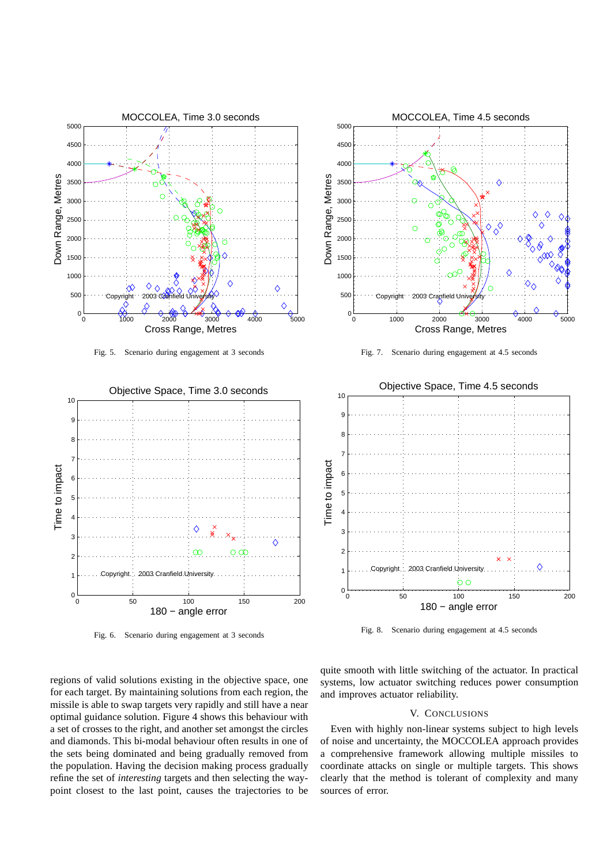

Fig. 6. Scenario during engagement at 3 seconds

Fig. 8. Scenario during engagement at 4.5 seconds

regions of valid solutions existing in the objective space, one for each target. By maintaining solutions from each region, the missile is able to swap targets very rapidly and still have a near optimal guidance solution. Figure 4 shows this behaviour with a set of crosses to the right, and another set amongst the circles and diamonds. This bi-modal behaviour often results in one of the sets being dominated and being gradually removed from the population. Having the decision making process gradually refine the set of *interesting* targets and then selecting the waypoint closest to the last point, causes the trajectories to be quite smooth with little switching of the actuator. In practical systems, low actuator switching reduces power consumption and improves actuator reliability.

# V. CONCLUSIONS

Even with highly non-linear systems subject to high levels of noise and uncertainty, the MOCCOLEA approach provides a comprehensive framework allowing multiple missiles to coordinate attacks on single or multiple targets. This shows clearly that the method is tolerant of complexity and many sources of error.